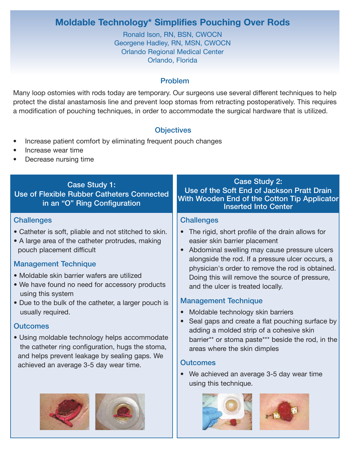# **Moldable Technology\* Simplifies Pouching Over Rods**

Ronald Ison, RN, BSN, CWOCN Georgene Hadley, RN, MSN, CWOCN Orlando Regional Medical Center Orlando, Florida

#### Problem

Many loop ostomies with rods today are temporary. Our surgeons use several different techniques to help protect the distal anastamosis line and prevent loop stomas from retracting postoperatively. This requires a modification of pouching techniques, in order to accommodate the surgical hardware that is utilized.

# **Objectives**

- Increase patient comfort by eliminating frequent pouch changes
- Increase wear time
- Decrease nursing time

# Case Study 1:

Use of Flexible Rubber Catheters Connected in an "O" Ring Configuration

#### **Challenges**

- Catheter is soft, pliable and not stitched to skin.
- A large area of the catheter protrudes, making pouch placement difficult

# Management Technique

- Moldable skin barrier wafers are utilized
- We have found no need for accessory products using this system
- Due to the bulk of the catheter, a larger pouch is usually required.

## **Outcomes**

• Using moldable technology helps accommodate the catheter ring configuration, hugs the stoma, and helps prevent leakage by sealing gaps. We achieved an average 3-5 day wear time.





## Case Study 2: Use of the Soft End of Jackson Pratt Drain With Wooden End of the Cotton Tip Applicator Inserted Into Center

#### **Challenges**

- The rigid, short profile of the drain allows for easier skin barrier placement
- Abdominal swelling may cause pressure ulcers alongside the rod. If a pressure ulcer occurs, a physician's order to remove the rod is obtained. Doing this will remove the source of pressure, and the ulcer is treated locally.

## Management Technique

- Moldable technology skin barriers
- Seal gaps and create a flat pouching surface by adding a molded strip of a cohesive skin barrier\*\* or stoma paste\*\*\* beside the rod, in the areas where the skin dimples

## **Outcomes**

• We achieved an average 3-5 day wear time using this technique.